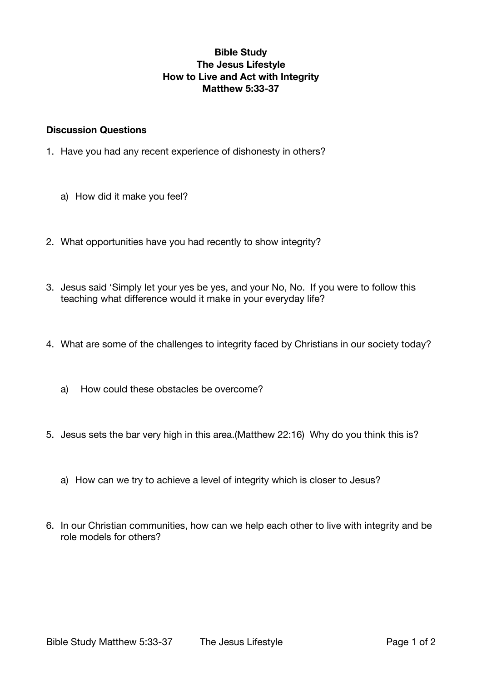# **Bible Study The Jesus Lifestyle How to Live and Act with Integrity Matthew 5:33-37**

#### **Discussion Questions**

- 1. Have you had any recent experience of dishonesty in others?
	- a) How did it make you feel?
- 2. What opportunities have you had recently to show integrity?
- 3. Jesus said 'Simply let your yes be yes, and your No, No. If you were to follow this teaching what difference would it make in your everyday life?
- 4. What are some of the challenges to integrity faced by Christians in our society today?
	- a) How could these obstacles be overcome?
- 5. Jesus sets the bar very high in this area.(Matthew 22:16) Why do you think this is?
	- a) How can we try to achieve a level of integrity which is closer to Jesus?
- 6. In our Christian communities, how can we help each other to live with integrity and be role models for others?